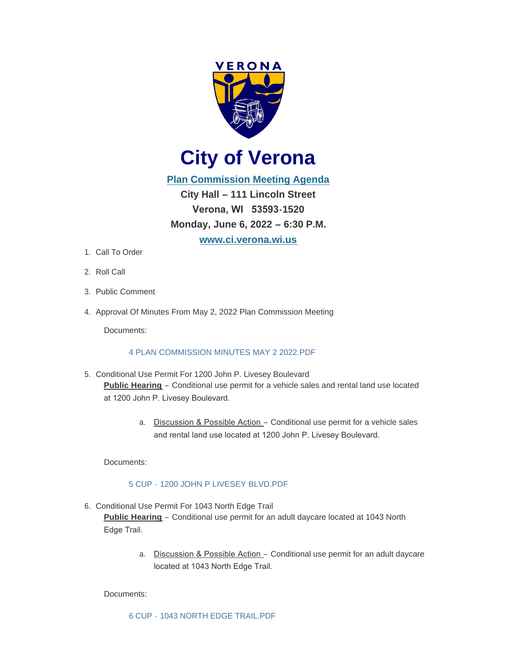

**City of Verona**

**[Plan Commission Meeting Agenda](http://www.ci.verona.wi.us/DocumentCenter/View/3991/Agenda---June-6-2022) City Hall – 111 Lincoln Street Verona, WI 53593-1520 Monday, June 6, 2022 – 6:30 P.M. [www.ci.verona.wi.us](http://www.ci.verona.wi.us/)**

- 1. Call To Order
- 2. Roll Call
- 3. Public Comment
- 4. Approval Of Minutes From May 2, 2022 Plan Commission Meeting

Documents:

# [4 PLAN COMMISSION MINUTES MAY 2 2022.PDF](http://www.ci.verona.wi.us/AgendaCenter/ViewFile/Item/161?fileID=3013)

- 5. Conditional Use Permit For 1200 John P. Livesey Boulevard **Public Hearing** – Conditional use permit for a vehicle sales and rental land use located at 1200 John P. Livesey Boulevard.
	- a. Discussion & Possible Action Conditional use permit for a vehicle sales and rental land use located at 1200 John P. Livesey Boulevard.

Documents:

### 5 CUP - [1200 JOHN P LIVESEY BLVD.PDF](http://www.ci.verona.wi.us/AgendaCenter/ViewFile/Item/154?fileID=3018)

6. Conditional Use Permit For 1043 North Edge Trail

**Public Hearing** – Conditional use permit for an adult daycare located at 1043 North Edge Trail.

> a. Discussion & Possible Action – Conditional use permit for an adult daycare located at 1043 North Edge Trail.

### Documents: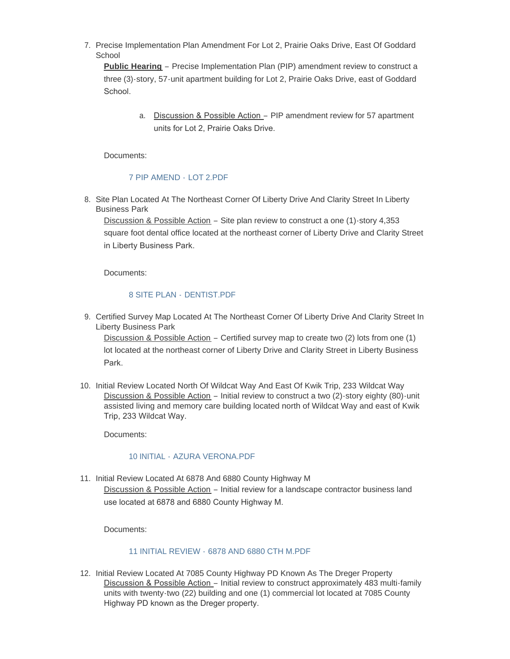7. Precise Implementation Plan Amendment For Lot 2, Prairie Oaks Drive, East Of Goddard **School** 

**Public Hearing** – Precise Implementation Plan (PIP) amendment review to construct a three (3)-story, 57-unit apartment building for Lot 2, Prairie Oaks Drive, east of Goddard School.

> a. Discussion & Possible Action – PIP amendment review for 57 apartment units for Lot 2, Prairie Oaks Drive.

Documents:

# [7 PIP AMEND -](http://www.ci.verona.wi.us/AgendaCenter/ViewFile/Item/156?fileID=3014) LOT 2.PDF

8. Site Plan Located At The Northeast Corner Of Liberty Drive And Clarity Street In Liberty Business Park

Discussion & Possible Action – Site plan review to construct a one (1)-story 4,353 square foot dental office located at the northeast corner of Liberty Drive and Clarity Street in Liberty Business Park.

Documents:

# [8 SITE PLAN -](http://www.ci.verona.wi.us/AgendaCenter/ViewFile/Item/157?fileID=3012) DENTIST.PDF

9. Certified Survey Map Located At The Northeast Corner Of Liberty Drive And Clarity Street In Liberty Business Park

Discussion & Possible Action – Certified survey map to create two (2) lots from one (1) lot located at the northeast corner of Liberty Drive and Clarity Street in Liberty Business Park.

10. Initial Review Located North Of Wildcat Way And East Of Kwik Trip, 233 Wildcat Way Discussion & Possible Action – Initial review to construct a two (2)-story eighty (80)-unit assisted living and memory care building located north of Wildcat Way and east of Kwik Trip, 233 Wildcat Way.

Documents:

### 10 INITIAL - [AZURA VERONA.PDF](http://www.ci.verona.wi.us/AgendaCenter/ViewFile/Item/158?fileID=3017)

11. Initial Review Located At 6878 And 6880 County Highway M Discussion & Possible Action - Initial review for a landscape contractor business land use located at 6878 and 6880 County Highway M.

Documents:

### 11 INITIAL REVIEW - [6878 AND 6880 CTH M.PDF](http://www.ci.verona.wi.us/AgendaCenter/ViewFile/Item/159?fileID=3015)

12. Initial Review Located At 7085 County Highway PD Known As The Dreger Property Discussion & Possible Action - Initial review to construct approximately 483 multi-family units with twenty-two (22) building and one (1) commercial lot located at 7085 County Highway PD known as the Dreger property.